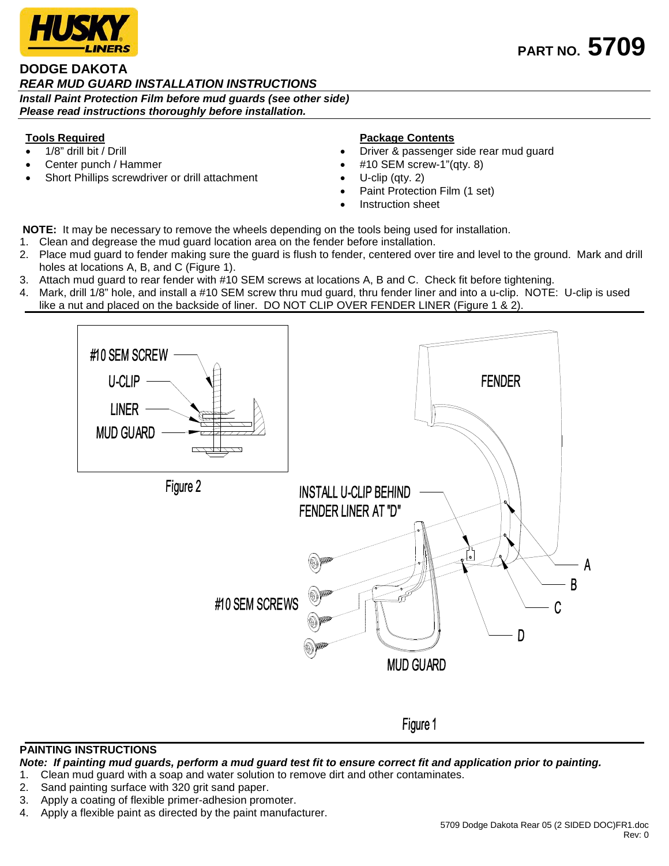

# **DODGE DAKOTA**  *REAR MUD GUARD INSTALLATION INSTRUCTIONS Install Paint Protection Film before mud guards (see other side)*

*Please read instructions thoroughly before installation.*

# **Tools Required**

- 1/8" drill bit / Drill
- Center punch / Hammer
- Short Phillips screwdriver or drill attachment

## **Package Contents**

- Driver & passenger side rear mud guard
- #10 SEM screw-1"(qty. 8)
- U-clip (qty. 2)
- Paint Protection Film (1 set)
- Instruction sheet

**NOTE:** It may be necessary to remove the wheels depending on the tools being used for installation.

- 1. Clean and degrease the mud guard location area on the fender before installation.
- 2. Place mud guard to fender making sure the guard is flush to fender, centered over tire and level to the ground. Mark and drill holes at locations A, B, and C (Figure 1).
- 3. Attach mud guard to rear fender with #10 SEM screws at locations A, B and C. Check fit before tightening.
- 4. Mark, drill 1/8" hole, and install a #10 SEM screw thru mud guard, thru fender liner and into a u-clip. NOTE: U-clip is used like a nut and placed on the backside of liner. DO NOT CLIP OVER FENDER LINER (Figure 1 & 2).



### **PAINTING INSTRUCTIONS**

*Note: If painting mud guards, perform a mud guard test fit to ensure correct fit and application prior to painting.*

- 1. Clean mud guard with a soap and water solution to remove dirt and other contaminates.
- 2. Sand painting surface with 320 grit sand paper.
- 3. Apply a coating of flexible primer-adhesion promoter.
- 4. Apply a flexible paint as directed by the paint manufacturer.